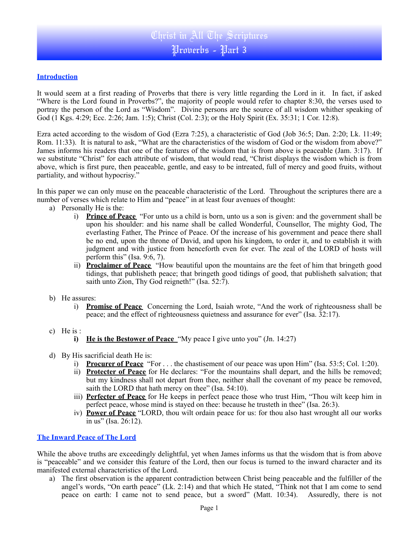# Christ in All The Scriptures Proverbs - Part 3

# **Introduction**

It would seem at a first reading of Proverbs that there is very little regarding the Lord in it. In fact, if asked "Where is the Lord found in Proverbs?", the majority of people would refer to chapter 8:30, the verses used to portray the person of the Lord as "Wisdom". Divine persons are the source of all wisdom whither speaking of God (1 Kgs. 4:29; Ecc. 2:26; Jam. 1:5); Christ (Col. 2:3); or the Holy Spirit (Ex. 35:31; 1 Cor. 12:8).

Ezra acted according to the wisdom of God (Ezra 7:25), a characteristic of God (Job 36:5; Dan. 2:20; Lk. 11:49; Rom. 11:33). It is natural to ask, "What are the characteristics of the wisdom of God or the wisdom from above?" James informs his readers that one of the features of the wisdom that is from above is peaceable (Jam. 3:17). If we substitute "Christ" for each attribute of wisdom, that would read, "Christ displays the wisdom which is from above, which is first pure, then peaceable, gentle, and easy to be intreated, full of mercy and good fruits, without partiality, and without hypocrisy."

In this paper we can only muse on the peaceable characteristic of the Lord. Throughout the scriptures there are a number of verses which relate to Him and "peace" in at least four avenues of thought:

- a) Personally He is the:
	- i) **Prince of Peace** "For unto us a child is born, unto us a son is given: and the government shall be upon his shoulder: and his name shall be called Wonderful, Counsellor, The mighty God, The everlasting Father, The Prince of Peace. Of the increase of his government and peace there shall be no end, upon the throne of David, and upon his kingdom, to order it, and to establish it with judgment and with justice from henceforth even for ever. The zeal of the LORD of hosts will perform this" (Isa. 9:6, 7).
	- ii) **Proclaimer of Peace** "How beautiful upon the mountains are the feet of him that bringeth good tidings, that publisheth peace; that bringeth good tidings of good, that publisheth salvation; that saith unto Zion, Thy God reigneth!" (Isa. 52:7).
- b) He assures:
	- i) **Promise of Peace** Concerning the Lord, Isaiah wrote, "And the work of righteousness shall be peace; and the effect of righteousness quietness and assurance for ever" (Isa. 32:17).
- c) He is :
	- **i)** He is the Bestower of Peace "My peace I give unto you" (Jn. 14:27)
- d) By His sacrificial death He is:
	- i) **Procurer of Peace** "For . . . the chastisement of our peace was upon Him" (Isa. 53:5; Col. 1:20).
	- ii) **Protecter of Peace** for He declares: "For the mountains shall depart, and the hills be removed; but my kindness shall not depart from thee, neither shall the covenant of my peace be removed, saith the LORD that hath mercy on thee" (Isa. 54:10).
	- iii) **Perfecter of Peace** for He keeps in perfect peace those who trust Him, "Thou wilt keep him in perfect peace, whose mind is stayed on thee: because he trusteth in thee" (Isa. 26:3).
	- iv) **Power of Peace** "LORD, thou wilt ordain peace for us: for thou also hast wrought all our works in us" (Isa. 26:12).

# **The Inward Peace of The Lord**

While the above truths are exceedingly delightful, yet when James informs us that the wisdom that is from above is "peaceable" and we consider this feature of the Lord, then our focus is turned to the inward character and its manifested external characteristics of the Lord.

a) The first observation is the apparent contradiction between Christ being peaceable and the fulfiller of the angel's words, "On earth peace" (Lk. 2:14) and that which He stated, "Think not that I am come to send peace on earth: I came not to send peace, but a sword" (Matt. 10:34). Assuredly, there is not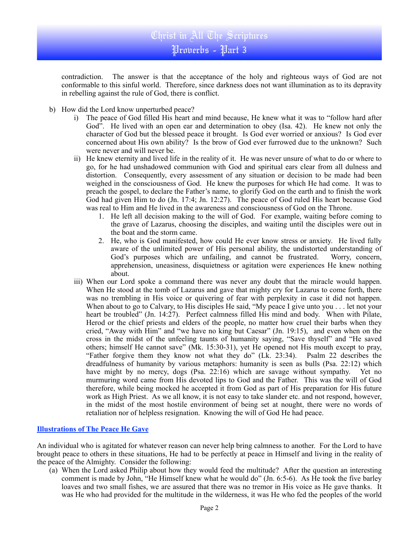contradiction. The answer is that the acceptance of the holy and righteous ways of God are not conformable to this sinful world. Therefore, since darkness does not want illumination as to its depravity in rebelling against the rule of God, there is conflict.

- b) How did the Lord know unperturbed peace?
	- i) The peace of God filled His heart and mind because, He knew what it was to "follow hard after God". He lived with an open ear and determination to obey (Isa. 42). He knew not only the character of God but the blessed peace it brought. Is God ever worried or anxious? Is God ever concerned about His own ability? Is the brow of God ever furrowed due to the unknown? Such were never and will never be.
	- ii) He knew eternity and lived life in the reality of it. He was never unsure of what to do or where to go, for he had unshadowed communion with God and spiritual ears clear from all dulness and distortion. Consequently, every assessment of any situation or decision to be made had been weighed in the consciousness of God. He knew the purposes for which He had come. It was to preach the gospel, to declare the Father's name, to glorify God on the earth and to finish the work God had given Him to do (Jn. 17:4; Jn. 12:27). The peace of God ruled His heart because God was real to Him and He lived in the awareness and consciousness of God on the Throne.
		- 1. He left all decision making to the will of God. For example, waiting before coming to the grave of Lazarus, choosing the disciples, and waiting until the disciples were out in the boat and the storm came.
		- 2. He, who is God manifested, how could He ever know stress or anxiety. He lived fully aware of the unlimited power of His personal ability, the undistorted understanding of God's purposes which are unfailing, and cannot be frustrated. Worry, concern, apprehension, uneasiness, disquietness or agitation were experiences He knew nothing about.
	- iii) When our Lord spoke a command there was never any doubt that the miracle would happen. When He stood at the tomb of Lazarus and gave that mighty cry for Lazarus to come forth, there was no trembling in His voice or quivering of fear with perplexity in case it did not happen. When about to go to Calvary, to His disciples He said, "My peace I give unto you . . . let not your heart be troubled" (Jn. 14:27). Perfect calmness filled His mind and body. When with Pilate, Herod or the chief priests and elders of the people, no matter how cruel their barbs when they cried, "Away with Him" and "we have no king but Caesar" (Jn. 19:15), and even when on the cross in the midst of the unfeeling taunts of humanity saying, "Save thyself" and "He saved others; himself He cannot save" (Mk. 15:30-31), yet He opened not His mouth except to pray, "Father forgive them they know not what they do" (Lk. 23:34). Psalm 22 describes the dreadfulness of humanity by various metaphors: humanity is seen as bulls (Psa. 22:12) which have might by no mercy, dogs (Psa. 22:16) which are savage without sympathy. Yet no murmuring word came from His devoted lips to God and the Father. This was the will of God therefore, while being mocked he accepted it from God as part of His preparation for His future work as High Priest. As we all know, it is not easy to take slander etc. and not respond, however, in the midst of the most hostile environment of being set at nought, there were no words of retaliation nor of helpless resignation. Knowing the will of God He had peace.

### **Illustrations of The Peace He Gave**

An individual who is agitated for whatever reason can never help bring calmness to another. For the Lord to have brought peace to others in these situations, He had to be perfectly at peace in Himself and living in the reality of the peace of the Almighty. Consider the following:

(a) When the Lord asked Philip about how they would feed the multitude? After the question an interesting comment is made by John, "He Himself knew what he would do" (Jn. 6:5-6). As He took the five barley loaves and two small fishes, we are assured that there was no tremor in His voice as He gave thanks. It was He who had provided for the multitude in the wilderness, it was He who fed the peoples of the world